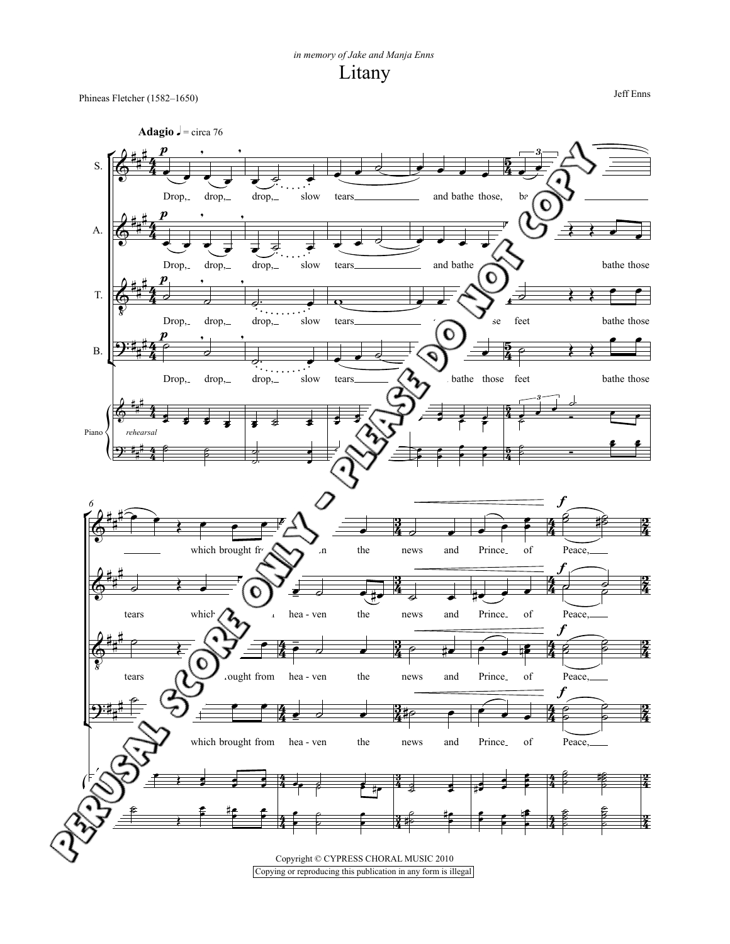Litany *in memory of Jake and Manja Enns*

Jeff Enns Phineas Fletcher (1582–1650)

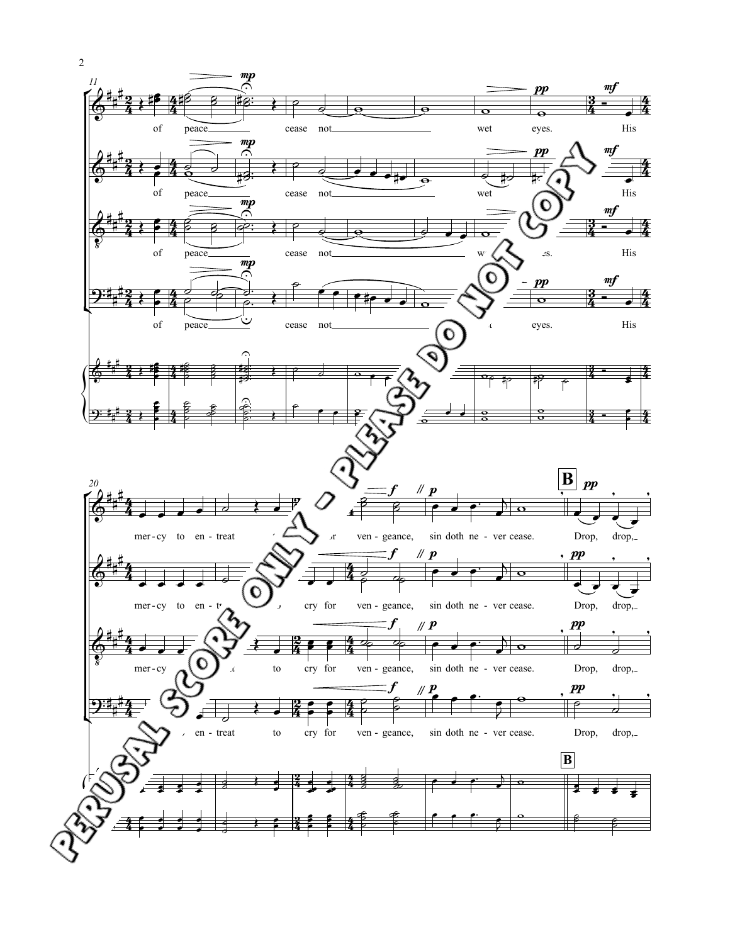

2